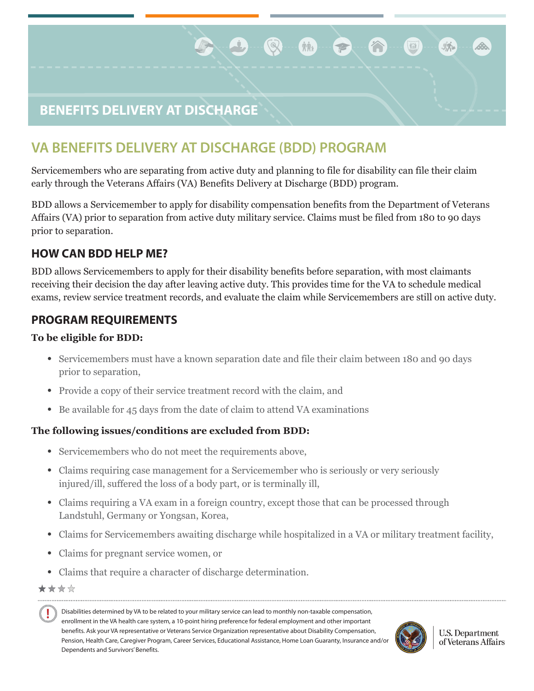# **BENEFITS DELIVERY AT DISCHARGE**

# **VA BENEFITS DELIVERY AT DISCHARGE (BDD) PROGRAM**

Servicemembers who are separating from active duty and planning to file for disability can file their claim early through the Veterans Affairs (VA) Benefits Delivery at Discharge (BDD) program.

Æ,

**NAt** 

 $\rightarrow$ 

 $\mathbb{Q}$ 

BDD allows a Servicemember to apply for disability compensation benefits from the Department of Veterans Affairs (VA) prior to separation from active duty military service. Claims must be filed from 180 to 90 days prior to separation.

### **HOW CAN BDD HELP ME?**

BDD allows Servicemembers to apply for their disability benefits before separation, with most claimants receiving their decision the day after leaving active duty. This provides time for the VA to schedule medical exams, review service treatment records, and evaluate the claim while Servicemembers are still on active duty.

### **PROGRAM REQUIREMENTS**

#### **To be eligible for BDD:**

- Servicemembers must have a known separation date and file their claim between 180 and 90 days prior to separation,
- Provide a copy of their service treatment record with the claim, and
- Be available for 45 days from the date of claim to attend VA examinations

#### **The following issues/conditions are excluded from BDD:**

- Servicemembers who do not meet the requirements above,
- Claims requiring case management for a Servicemember who is seriously or very seriously injured/ill, suffered the loss of a body part, or is terminally ill,
- Claims requiring a VA exam in a foreign country, except those that can be processed through Landstuhl, Germany or Yongsan, Korea,
- Claims for Servicemembers awaiting discharge while hospitalized in a VA or military treatment facility,
- Claims for pregnant service women, or
- Claims that require a character of discharge determination.
- \*\*\*\*

Disabilities determined by VA to be related to your military service can lead to monthly non-taxable compensation, Ţ enrollment in the VA health care system, a 10-point hiring preference for federal employment and other important benefits. Ask your VA representative or Veterans Service Organization representative about Disability Compensation, Pension, Health Care, Caregiver Program, Career Services, Educational Assistance, Home Loan Guaranty, Insurance and/o Dependents and Survivors' Benefits.



**U.S. Department** of Veterans Affairs